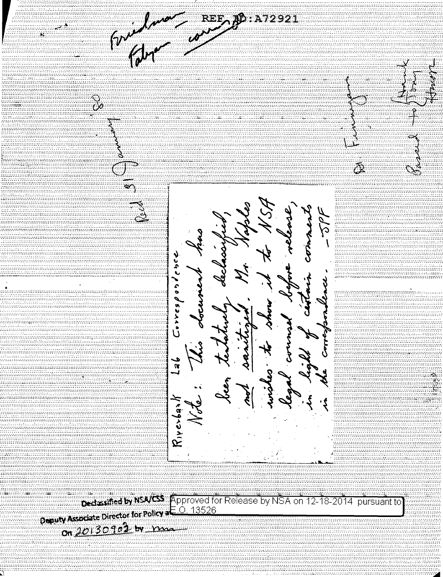**ID:A72921**  $\sim$  $\mathbf{R}$ (၇  $\frac{\infty}{\infty}$  $\overline{\hat{\alpha}}$ 10 C idmonen Correspondence )<br>} k<br>K ر<br>پو Riverbanl

Ded state by NSVCS Approved for Release by NSA on 12-18-2014 pursuant to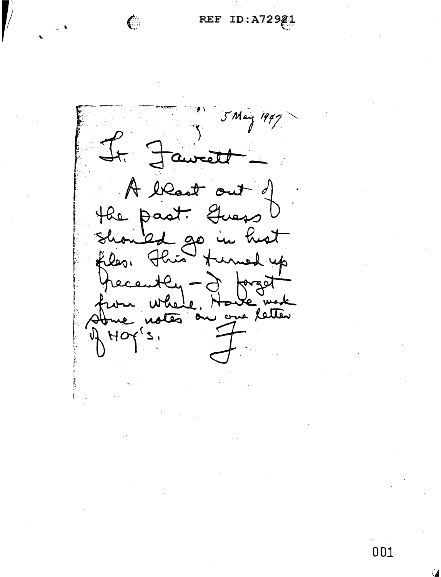REF ID:A72921

5 May 1947  $J_{t}$ Faw  $\mathcal{A}$  $\mathcal{O}$ the past.  $\rightarrow$ بمقد hist  $\alpha$ ঠ files. przed one letter ضف HO

€

001